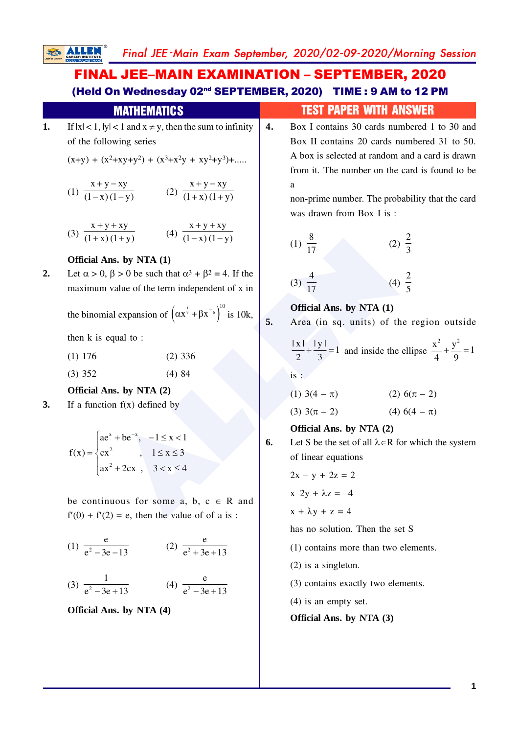Final JEE -Main Exam September, 2020/02-09-2020/Morning Session

# FINAL JEE–MAIN EXAMINATION – SEPTEMBER, 2020 (Held On Wednesday 02nd SEPTEMBER, 2020) TIME : 9 AM to 12 PM

**SALLEN** 

|    | <b>MATHEMATICS</b>                                                                                                                                                                                                                                  |    | <b>TEST PAPER WITH ANSWER</b>                                                                     |  |  |  |  |
|----|-----------------------------------------------------------------------------------------------------------------------------------------------------------------------------------------------------------------------------------------------------|----|---------------------------------------------------------------------------------------------------|--|--|--|--|
| 1. | If $ x  < 1$ , $ y  < 1$ and $x \neq y$ , then the sum to infinity<br>of the following series                                                                                                                                                       | 4. | Box I contains 30 cards numbered 1 to 30 and<br>Box II contains 20 cards numbered 31 to 50.       |  |  |  |  |
|    | $(x+y) + (x^2+xy+y^2) + (x^3+x^2y + xy^2+y^3) + $                                                                                                                                                                                                   |    | A box is selected at random and a card is drawn<br>from it. The number on the card is found to be |  |  |  |  |
|    | (1) $\frac{x+y-xy}{(1-x)(1-y)}$ (2) $\frac{x+y-xy}{(1+x)(1+y)}$                                                                                                                                                                                     |    | a<br>non-prime number. The probability that the card<br>was drawn from Box I is:                  |  |  |  |  |
|    | (3) $\frac{x+y+xy}{(1+x)(1+y)}$ (4) $\frac{x+y+xy}{(1-x)(1-y)}$                                                                                                                                                                                     |    | (1) $\frac{8}{17}$<br>(2) $\frac{2}{3}$                                                           |  |  |  |  |
|    | Official Ans. by NTA (1)                                                                                                                                                                                                                            |    |                                                                                                   |  |  |  |  |
| 2. | Let $\alpha > 0$ , $\beta > 0$ be such that $\alpha^3 + \beta^2 = 4$ . If the<br>maximum value of the term independent of x in                                                                                                                      |    | $(3) \frac{4}{17}$<br>(4) $\frac{2}{5}$                                                           |  |  |  |  |
|    | the binomial expansion of $(\alpha x^{\frac{1}{9}} + \beta x^{-\frac{1}{6}})^{10}$ is 10k,                                                                                                                                                          | 5. | Official Ans. by NTA (1)<br>Area (in sq. units) of the region outside                             |  |  |  |  |
|    | then k is equal to:                                                                                                                                                                                                                                 |    |                                                                                                   |  |  |  |  |
|    | $(1)$ 176<br>$(2)$ 336                                                                                                                                                                                                                              |    | $\frac{ x }{2} + \frac{ y }{3} = 1$ and inside the ellipse $\frac{x^2}{4} + \frac{y^2}{9} = 1$    |  |  |  |  |
|    | $(3)$ 352<br>(4)84                                                                                                                                                                                                                                  |    | is:                                                                                               |  |  |  |  |
|    | Official Ans. by NTA (2)<br>If a function $f(x)$ defined by                                                                                                                                                                                         |    | (1) $3(4 - \pi)$ (2) $6(\pi - 2)$                                                                 |  |  |  |  |
| 3. |                                                                                                                                                                                                                                                     |    | (4) $6(4 - \pi)$<br>(3) $3(\pi - 2)$                                                              |  |  |  |  |
|    |                                                                                                                                                                                                                                                     |    | Official Ans. by NTA (2)                                                                          |  |  |  |  |
|    | $f(x) = \begin{cases} ae^{x} + be^{-x}, & -1 \le x < 1 \\ cx^{2}, & 1 \le x \le 3 \\ ax^{2} + 2cx, & 3 < x \le 4 \end{cases}$                                                                                                                       | 6. | Let S be the set of all $\lambda \in R$ for which the system                                      |  |  |  |  |
|    |                                                                                                                                                                                                                                                     |    | of linear equations                                                                               |  |  |  |  |
|    |                                                                                                                                                                                                                                                     |    | $2x - y + 2z = 2$                                                                                 |  |  |  |  |
|    | be continuous for some a, b, $c \in R$ and<br>$f'(0) + f'(2) = e$ , then the value of of a is:<br>(1) $\frac{e}{e^2 - 3e - 13}$ (2) $\frac{e}{e^2 + 3e + 13}$<br>(4) $\frac{e}{e^2-3e+13}$<br>(3) $\frac{1}{e^2-3e+13}$<br>Official Ans. by NTA (4) |    | $x-2y + \lambda z = -4$                                                                           |  |  |  |  |
|    |                                                                                                                                                                                                                                                     |    | $x + \lambda y + z = 4$                                                                           |  |  |  |  |
|    |                                                                                                                                                                                                                                                     |    | has no solution. Then the set S                                                                   |  |  |  |  |
|    |                                                                                                                                                                                                                                                     |    | $(1)$ contains more than two elements.                                                            |  |  |  |  |
|    |                                                                                                                                                                                                                                                     |    | $(2)$ is a singleton.                                                                             |  |  |  |  |
|    |                                                                                                                                                                                                                                                     |    | (3) contains exactly two elements.                                                                |  |  |  |  |
|    |                                                                                                                                                                                                                                                     |    | $(4)$ is an empty set.                                                                            |  |  |  |  |
|    |                                                                                                                                                                                                                                                     |    | Official Ans. by NTA (3)                                                                          |  |  |  |  |
|    |                                                                                                                                                                                                                                                     |    |                                                                                                   |  |  |  |  |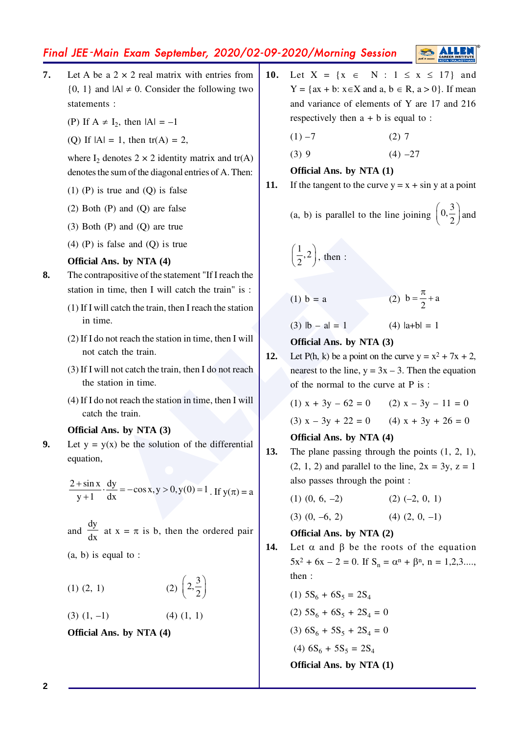# Final JEE -Main Exam September, 2020/02-09-2020/Morning Session

- **7.** Let A be a  $2 \times 2$  real matrix with entries from  $\{0, 1\}$  and  $|A| \neq 0$ . Consider the following two statements :
	- (P) If  $A \neq I_2$ , then  $|A| = -1$
	- (Q) If  $|A| = 1$ , then  $tr(A) = 2$ ,

where  $I_2$  denotes  $2 \times 2$  identity matrix and tr(A) denotes the sum of the diagonal entries of A. Then:

- (1) (P) is true and (Q) is false
- (2) Both (P) and (Q) are false
- (3) Both (P) and (Q) are true
- (4) (P) is false and (Q) is true

## **Official Ans. by NTA (4)**

- **8.** The contrapositive of the statement "If I reach the station in time, then I will catch the train" is :
	- (1) If I will catch the train, then I reach the station in time.
	- (2) If I do not reach the station in time, then I will not catch the train.
	- (3) If I will not catch the train, then I do not reach the station in time.
	- (4) If I do not reach the station in time, then I will catch the train.

### **Official Ans. by NTA (3)**

**9.** Let  $y = y(x)$  be the solution of the differential equation,

$$
\frac{2 + \sin x}{y + 1} \cdot \frac{dy}{dx} = -\cos x, y > 0, y(0) = 1
$$
. If  $y(\pi) = a$ 

- and dy  $\frac{dy}{dx}$  at x =  $\pi$  is b, then the ordered pair
- (a, b) is equal to :

(1) (2, 1)   
 (2) 
$$
\left(2, \frac{3}{2}\right)
$$

 $(3)$   $(1, -1)$   $(4)$   $(1, 1)$ 

**Official Ans. by NTA (4)**

- **10.** Let  $X = \{x \in N : 1 \le x \le 17\}$  and  $Y = \{ax + b : x \in X \text{ and } a, b \in R, a > 0\}.$  If mean and variance of elements of Y are 17 and 216 respectively then  $a + b$  is equal to :
	- $(1) -7$  (2) 7
	- $(3) 9$   $(4) -27$

**Official Ans. by NTA (1)**

**11.** If the tangent to the curve  $y = x + \sin y$  at a point

(a, b) is parallel to the line joining  $0,\frac{3}{2}$  $\left(0, \frac{3}{2}\right)$  and

$$
\left(\frac{1}{2},2\right), \text{ then :}
$$

(1) b = a (2) b =  $\frac{\pi}{2}$  + a

(3)  $|b - a| = 1$  (4)  $|a+b| = 1$ 

**Official Ans. by NTA (3)**

- false and (Q) is true<br> **allel (ALLENDER)**<br>
alleaded the statement "If I reach the train" is :<br>
ll catch the train, then I reach the station<br>
in terms.<br>
allem train, then I reach the station<br>
allem train, then I reach the 12. Let P(h, k) be a point on the curve  $y = x^2 + 7x + 2$ , nearest to the line,  $y = 3x - 3$ . Then the equation of the normal to the curve at P is :
	- (1)  $x + 3y 62 = 0$  (2)  $x 3y 11 = 0$ (3)  $x - 3y + 22 = 0$  (4)  $x + 3y + 26 = 0$ **Official Ans. by NTA (4)**

# **13.** The plane passing through the points (1, 2, 1),

- $(2, 1, 2)$  and parallel to the line,  $2x = 3y$ ,  $z = 1$ also passes through the point :
	- $(1)$   $(0, 6, -2)$   $(2)$   $(-2, 0, 1)$
	- $(3)$   $(0, -6, 2)$   $(4)$   $(2, 0, -1)$

## **Official Ans. by NTA (2)**

- **14.** Let  $\alpha$  and  $\beta$  be the roots of the equation  $5x^2 + 6x - 2 = 0$ . If  $S_n = \alpha^n + \beta^n$ ,  $n = 1, 2, 3, \dots$ then :
	- (1)  $5S_6 + 6S_5 = 2S_4$ (2)  $5S_6 + 6S_5 + 2S_4 = 0$ (3)  $6S_6 + 5S_5 + 2S_4 = 0$ (4)  $6S_6 + 5S_5 = 2S_4$

**Official Ans. by NTA (1)**